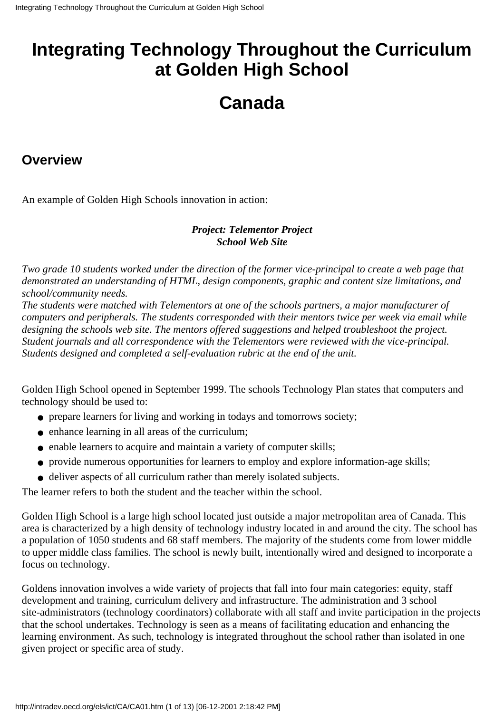## **Integrating Technology Throughout the Curriculum at Golden High School**

# **Canada**

#### **Overview**

An example of Golden High School s innovation in action:

#### *Project: Telementor Project School Web Site*

*Two grade 10 students worked under the direction of the former vice-principal to create a web page that demonstrated an understanding of HTML, design components, graphic and content size limitations, and school/community needs.*

The students were matched with Telementors at one of the school s partners, a major manufacturer of *computers and peripherals. The students corresponded with their mentors twice per week via email while designing the schools web site. The mentors offered suggestions and helped troubleshoot the project. Student journals and all correspondence with the Telementors were reviewed with the vice-principal. Students designed and completed a self-evaluation rubric at the end of the unit.*

Golden High School opened in September 1999. The school s Technology Plan states that computers and technology should be used to:

- prepare learners for living and working in today s and tomorrow s society;
- enhance learning in all areas of the curriculum:
- enable learners to acquire and maintain a variety of computer skills;
- provide numerous opportunities for learners to employ and explore information-age skills;
- deliver aspects of all curriculum rather than merely isolated subjects.

The learner refers to both the student and the teacher within the school.

Golden High School is a large high school located just outside a major metropolitan area of Canada. This area is characterized by a high density of technology industry located in and around the city. The school has a population of 1050 students and 68 staff members. The majority of the students come from lower middle to upper middle class families. The school is newly built, intentionally wired and designed to incorporate a focus on technology.

Golden s innovation involves a wide variety of projects that fall into four main categories: equity, staff development and training, curriculum delivery and infrastructure. The administration and 3 school site-administrators (technology coordinators) collaborate with all staff and invite participation in the projects that the school undertakes. Technology is seen as a means of facilitating education and enhancing the learning environment. As such, technology is integrated throughout the school rather than isolated in one given project or specific area of study.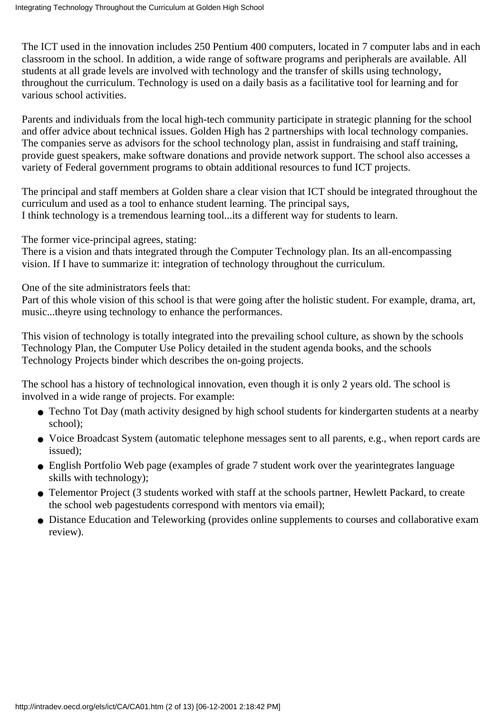The ICT used in the innovation includes 250 Pentium 400 computers, located in 7 computer labs and in each classroom in the school. In addition, a wide range of software programs and peripherals are available. All students at all grade levels are involved with technology and the transfer of skills using technology, throughout the curriculum. Technology is used on a daily basis as a facilitative tool for learning and for various school activities.

Parents and individuals from the local high-tech community participate in strategic planning for the school and offer advice about technical issues. Golden High has 2 partnerships with local technology companies. The companies serve as advisors for the school technology plan, assist in fundraising and staff training, provide guest speakers, make software donations and provide network support. The school also accesses a variety of Federal government programs to obtain additional resources to fund ICT projects.

The principal and staff members at Golden share a clear vision that ICT should be integrated throughout the curriculum and used as a tool to enhance student learning. The principal says, I think technology is a tremendous learning tool...it s a different way for students to learn.

The former vice-principal agrees, stating:

There is a vision and that s integrated through the Computer Technology plan. It s an all-encompassing vision. If I have to summarize it: integration of technology throughout the curriculum.

One of the site administrators feels that:

Part of this whole vision of this school is that were going after the holistic student. For example, drama, art, music...they re using technology to enhance the performances.

This vision of technology is totally integrated into the prevailing school culture, as shown by the school s Technology Plan, the Computer Use Policy detailed in the student agenda books, and the schools Technology Projects binder which describes the on-going projects.

The school has a history of technological innovation, even though it is only 2 years old. The school is involved in a wide range of projects. For example:

- Techno Tot Day (math activity designed by high school students for kindergarten students at a nearby school);
- Voice Broadcast System (automatic telephone messages sent to all parents, e.g., when report cards are issued);
- English Portfolio Web page (examples of grade 7 student work over the year integrates language skills with technology);
- Telementor Project (3 students worked with staff at the school s partner, Hewlett Packard, to create the school web page students correspond with mentors via email);
- Distance Education and Teleworking (provides online supplements to courses and collaborative exam review).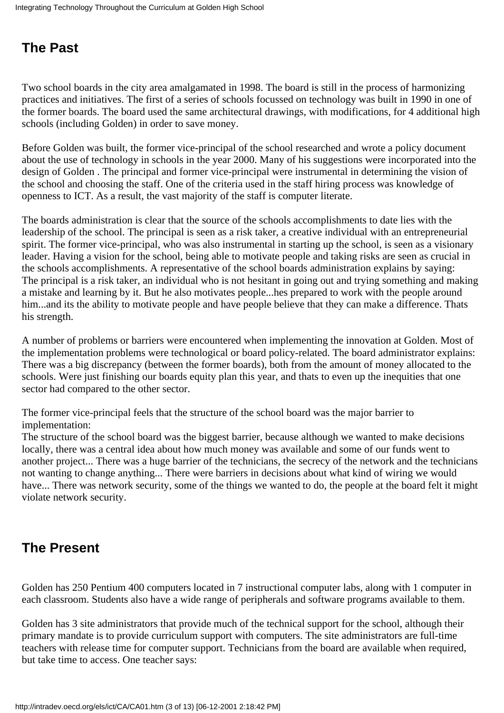### **The Past**

Two school boards in the city area amalgamated in 1998. The board is still in the process of harmonizing practices and initiatives. The first of a series of schools focussed on technology was built in 1990 in one of the former boards. The board used the same architectural drawings, with modifications, for 4 additional high schools (including Golden) in order to save money.

Before Golden was built, the former vice-principal of the school researched and wrote a policy document about the use of technology in schools in the year 2000. Many of his suggestions were incorporated into the design of Golden . The principal and former vice-principal were instrumental in determining the vision of the school and choosing the staff. One of the criteria used in the staff hiring process was knowledge of openness to ICT. As a result, the vast majority of the staff is computer literate.

The board s administration is clear that the source of the school s accomplishments to date lies with the leadership of the school. The principal is seen as a risk taker, a creative individual with an entrepreneurial spirit. The former vice-principal, who was also instrumental in starting up the school, is seen as a visionary leader. Having a vision for the school, being able to motivate people and taking risks are seen as crucial in the school s accomplishments. A representative of the school board s administration explains by saying: The principal is a risk taker, an individual who is not hesitant in going out and trying something and making a mistake and learning by it. But he also motivates people...hes prepared to work with the people around him...and it s the ability to motivate people and have people believe that they can make a difference. That s his strength.

A number of problems or barriers were encountered when implementing the innovation at Golden. Most of the implementation problems were technological or board policy-related. The board administrator explains: There was a big discrepancy (between the former boards), both from the amount of money allocated to the schools. We re just finishing our board s equity plan this year, and that s to even up the inequities that one sector had compared to the other sector.

The former vice-principal feels that the structure of the school board was the major barrier to implementation:

The structure of the school board was the biggest barrier, because although we wanted to make decisions locally, there was a central idea about how much money was available and some of our funds went to another project... There was a huge barrier of the technicians, the secrecy of the network and the technicians not wanting to change anything... There were barriers in decisions about what kind of wiring we would have... There was network security, some of the things we wanted to do, the people at the board felt it might violate network security.

### **The Present**

Golden has 250 Pentium 400 computers located in 7 instructional computer labs, along with 1 computer in each classroom. Students also have a wide range of peripherals and software programs available to them.

Golden has 3 site administrators that provide much of the technical support for the school, although their primary mandate is to provide curriculum support with computers. The site administrators are full-time teachers with release time for computer support. Technicians from the board are available when required, but take time to access. One teacher says: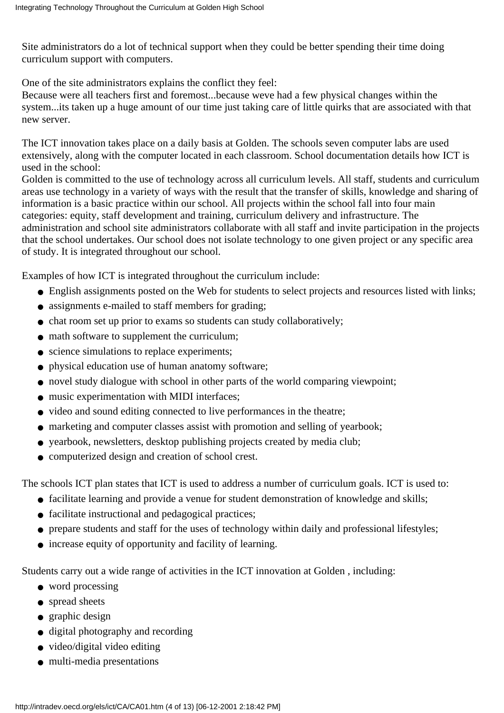Site administrators do a lot of technical support when they could be better spending their time doing curriculum support with computers.

One of the site administrators explains the conflict they feel:

Because we re all teachers first and foremost...because we ve had a few physical changes within the system...it s taken up a huge amount of our time just taking care of little quirks that are associated with that new server.

The ICT innovation takes place on a daily basis at Golden. The school s seven computer labs are used extensively, along with the computer located in each classroom. School documentation details how ICT is used in the school:

Golden is committed to the use of technology across all curriculum levels. All staff, students and curriculum areas use technology in a variety of ways with the result that the transfer of skills, knowledge and sharing of information is a basic practice within our school. All projects within the school fall into four main categories: equity, staff development and training, curriculum delivery and infrastructure. The administration and school site administrators collaborate with all staff and invite participation in the projects that the school undertakes. Our school does not isolate technology to one given project or any specific area of study. It is integrated throughout our school.

Examples of how ICT is integrated throughout the curriculum include:

- English assignments posted on the Web for students to select projects and resources listed with links;
- assignments e-mailed to staff members for grading;
- chat room set up prior to exams so students can study collaboratively;
- math software to supplement the curriculum;
- science simulations to replace experiments;
- physical education use of human anatomy software;
- novel study dialogue with school in other parts of the world comparing viewpoint;
- music experimentation with MIDI interfaces;
- video and sound editing connected to live performances in the theatre;
- marketing and computer classes assist with promotion and selling of yearbook;
- yearbook, newsletters, desktop publishing projects created by media club;
- computerized design and creation of school crest.

The school s ICT plan states that ICT is used to address a number of curriculum goals. ICT is used to:

- facilitate learning and provide a venue for student demonstration of knowledge and skills;
- facilitate instructional and pedagogical practices;
- prepare students and staff for the uses of technology within daily and professional lifestyles;
- increase equity of opportunity and facility of learning.

Students carry out a wide range of activities in the ICT innovation at Golden , including:

- word processing
- spread sheets
- graphic design
- digital photography and recording
- video/digital video editing
- multi-media presentations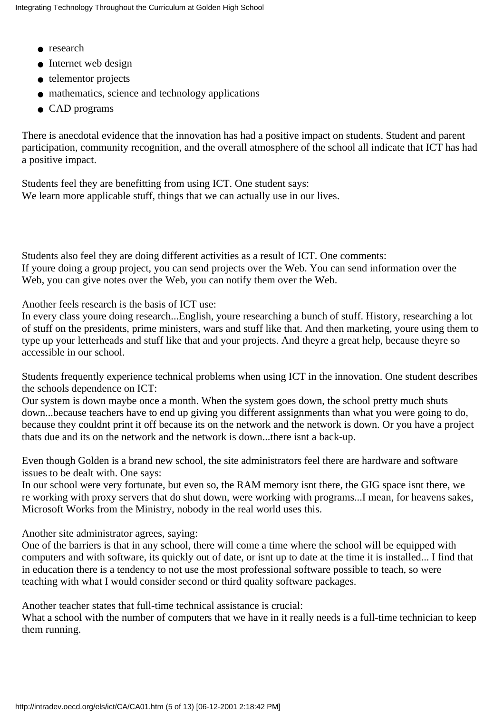- research
- Internet web design
- telementor projects
- mathematics, science and technology applications
- CAD programs

There is anecdotal evidence that the innovation has had a positive impact on students. Student and parent participation, community recognition, and the overall atmosphere of the school all indicate that ICT has had a positive impact.

Students feel they are benefitting from using ICT. One student says: We learn more applicable stuff, things that we can actually use in our lives.

Students also feel they are doing different activities as a result of ICT. One comments: If youre doing a group project, you can send projects over the Web. You can send information over the Web, you can give notes over the Web, you can notify them over the Web.

Another feels research is the basis of ICT use:

In every class youre doing research...English, youre researching a bunch of stuff. History, researching a lot of stuff on the presidents, prime ministers, wars and stuff like that. And then marketing, youre using them to type up your letterheads and stuff like that and your projects. And theyre a great help, because theyre so accessible in our school.

Students frequently experience technical problems when using ICT in the innovation. One student describes the school s dependence on ICT:

Our system is down maybe once a month. When the system goes down, the school pretty much shuts down...because teachers have to end up giving you different assignments than what you were going to do, because they couldn t print it off because it s on the network and the network is down. Or you have a project that s due and it s on the network and the network is down...there isn t a back-up.

Even though Golden is a brand new school, the site administrators feel there are hardware and software issues to be dealt with. One says:

In our school we re very fortunate, but even so, the RAM memory isn t there, the GIG space isn t there, we re working with proxy servers that do shut down, we re working with programs...I mean, for heaven s sakes, Microsoft Works from the Ministry, nobody in the real world uses this.

Another site administrator agrees, saying:

One of the barriers is that in any school, there will come a time where the school will be equipped with computers and with software, it s quickly out of date, or isn t up to date at the time it is installed... I find that in education there is a tendency to not use the most professional software possible to teach, so were teaching with what I would consider second or third quality software packages.

Another teacher states that full-time technical assistance is crucial:

What a school with the number of computers that we have in it really needs is a full-time technician to keep them running.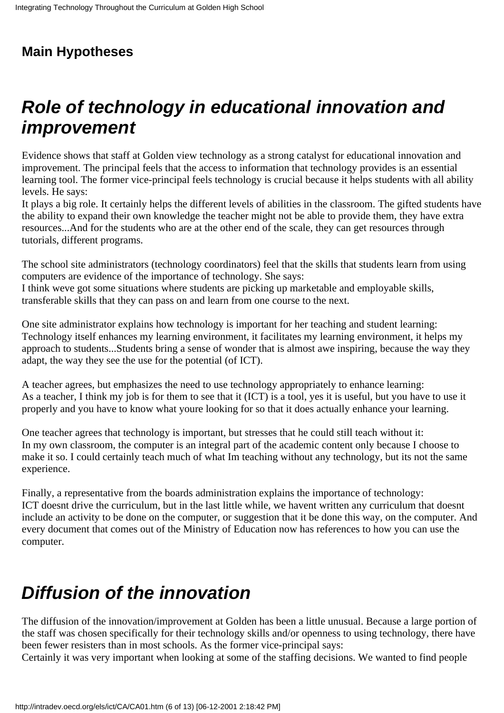## **Main Hypotheses**

## **Role of technology in educational innovation and improvement**

Evidence shows that staff at Golden view technology as a strong catalyst for educational innovation and improvement. The principal feels that the access to information that technology provides is an essential learning tool. The former vice-principal feels technology is crucial because it helps students with all ability levels. He says:

It plays a big role. It certainly helps the different levels of abilities in the classroom. The gifted students have the ability to expand their own knowledge the teacher might not be able to provide them, they have extra resources...And for the students who are at the other end of the scale, they can get resources through tutorials, different programs.

The school site administrators (technology coordinators) feel that the skills that students learn from using computers are evidence of the importance of technology. She says:

I think we ve got some situations where students are picking up marketable and employable skills, transferable skills that they can pass on and learn from one course to the next.

One site administrator explains how technology is important for her teaching and student learning: Technology itself enhances my learning environment, it facilitates my learning environment, it helps my approach to students...Students bring a sense of wonder that is almost awe inspiring, because the way they adapt, the way they see the use for the potential (of ICT).

A teacher agrees, but emphasizes the need to use technology appropriately to enhance learning: As a teacher, I think my job is for them to see that it (ICT) is a tool, yes it is useful, but you have to use it properly and you have to know what youre looking for so that it does actually enhance your learning.

One teacher agrees that technology is important, but stresses that he could still teach without it: In my own classroom, the computer is an integral part of the academic content only because I choose to make it so. I could certainly teach much of what I m teaching without any technology, but it s not the same experience.

Finally, a representative from the board s administration explains the importance of technology: ICT doesn t drive the curriculum, but in the last little while, we haven t written any curriculum that doesn t include an activity to be done on the computer, or suggestion that it be done this way, on the computer. And every document that comes out of the Ministry of Education now has references to how you can use the computer.

# **Diffusion of the innovation**

The diffusion of the innovation/improvement at Golden has been a little unusual. Because a large portion of the staff was chosen specifically for their technology skills and/or openness to using technology, there have been fewer resisters than in most schools. As the former vice-principal says:

Certainly it was very important when looking at some of the staffing decisions. We wanted to find people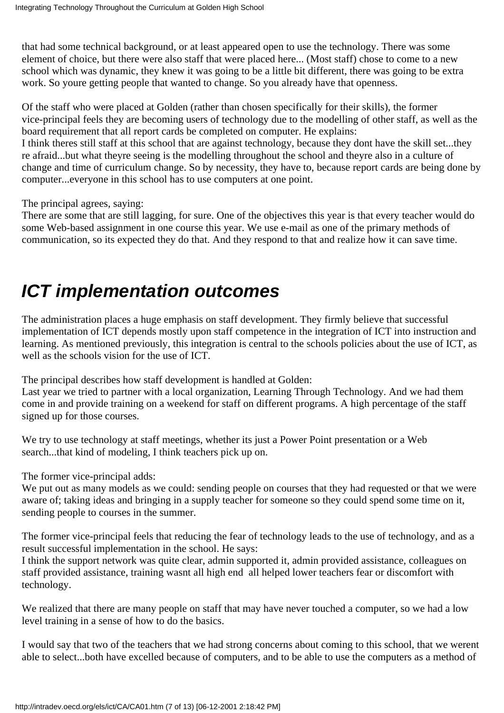that had some technical background, or at least appeared open to use the technology. There was some element of choice, but there were also staff that were placed here... (Most staff) chose to come to a new school which was dynamic, they knew it was going to be a little bit different, there was going to be extra work. So you re getting people that wanted to change. So you already have that openness.

Of the staff who were placed at Golden (rather than chosen specifically for their skills), the former vice-principal feels they are becoming users of technology due to the modelling of other staff, as well as the board requirement that all report cards be completed on computer. He explains:

I think there s still staff at this school that are against technology, because they don t have the skill set...they re afraid...but what they re seeing is the modelling throughout the school and they re also in a culture of change and time of curriculum change. So by necessity, they have to, because report cards are being done by computer...everyone in this school has to use computers at one point.

The principal agrees, saying:

There are some that are still lagging, for sure. One of the objectives this year is that every teacher would do some Web-based assignment in one course this year. We use e-mail as one of the primary methods of communication, so it s expected they do that. And they respond to that and realize how it can save time.

# **ICT implementation outcomes**

The administration places a huge emphasis on staff development. They firmly believe that successful implementation of ICT depends mostly upon staff competence in the integration of ICT into instruction and learning. As mentioned previously, this integration is central to the school s policies about the use of ICT, as well as the school s vision for the use of ICT.

The principal describes how staff development is handled at Golden:

Last year we tried to partner with a local organization, Learning Through Technology. And we had them come in and provide training on a weekend for staff on different programs. A high percentage of the staff signed up for those courses.

We try to use technology at staff meetings, whether it s just a Power Point presentation or a Web search...that kind of modeling, I think teachers pick up on.

The former vice-principal adds:

We put out as many models as we could: sending people on courses that they had requested or that we were aware of; taking ideas and bringing in a supply teacher for someone so they could spend some time on it, sending people to courses in the summer.

The former vice-principal feels that reducing the fear of technology leads to the use of technology, and as a result successful implementation in the school. He says:

I think the support network was quite clear, admin supported it, admin provided assistance, colleagues on staff provided assistance, training wasn t all high end all helped lower teacher s fear or discomfort with technology.

We realized that there are many people on staff that may have never touched a computer, so we had a low level training in a sense of how to do the basics.

I would say that two of the teachers that we had strong concerns about coming to this school, that we werent able to select...both have excelled because of computers, and to be able to use the computers as a method of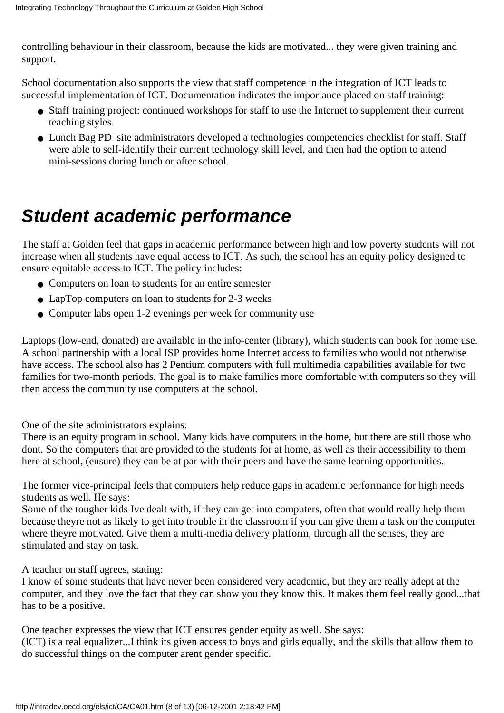controlling behaviour in their classroom, because the kids are motivated... they were given training and support.

School documentation also supports the view that staff competence in the integration of ICT leads to successful implementation of ICT. Documentation indicates the importance placed on staff training:

- Staff training project: continued workshops for staff to use the Internet to supplement their current teaching styles.
- Lunch Bag PD site administrators developed a technologies competencies checklist for staff. Staff were able to self-identify their current technology skill level, and then had the option to attend mini-sessions during lunch or after school.

## **Student academic performance**

The staff at Golden feel that gaps in academic performance between high and low poverty students will not increase when all students have equal access to ICT. As such, the school has an equity policy designed to ensure equitable access to ICT. The policy includes:

- Computers on loan to students for an entire semester
- LapTop computers on loan to students for 2-3 weeks
- Computer labs open 1-2 evenings per week for community use

Laptops (low-end, donated) are available in the info-center (library), which students can book for home use. A school partnership with a local ISP provides home Internet access to families who would not otherwise have access. The school also has 2 Pentium computers with full multimedia capabilities available for two families for two-month periods. The goal is to make families more comfortable with computers so they will then access the community use computers at the school.

One of the site administrators explains:

There is an equity program in school. Many kids have computers in the home, but there are still those who dont. So the computers that are provided to the students for at home, as well as their accessibility to them here at school, (ensure) they can be at par with their peers and have the same learning opportunities.

The former vice-principal feels that computers help reduce gaps in academic performance for high needs students as well. He says:

Some of the tougher kids I ve dealt with, if they can get into computers, often that would really help them because they re not as likely to get into trouble in the classroom if you can give them a task on the computer where they re motivated. Give them a multi-media delivery platform, through all the senses, they are stimulated and stay on task.

A teacher on staff agrees, stating:

I know of some students that have never been considered very academic, but they are really adept at the computer, and they love the fact that they can show you they know this. It makes them feel really good...that has to be a positive.

One teacher expresses the view that ICT ensures gender equity as well. She says:

(ICT) is a real equalizer...I think its given access to boys and girls equally, and the skills that allow them to do successful things on the computer arent gender specific.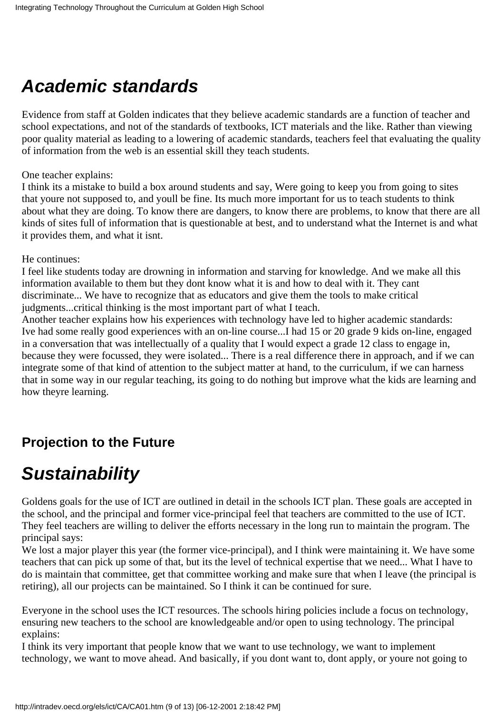# **Academic standards**

Evidence from staff at Golden indicates that they believe academic standards are a function of teacher and school expectations, and not of the standards of textbooks, ICT materials and the like. Rather than viewing poor quality material as leading to a lowering of academic standards, teachers feel that evaluating the quality of information from the web is an essential skill they teach students.

One teacher explains:

I think it s a mistake to build a box around students and say, We re going to keep you from going to sites that you re not supposed to, and you ll be fine. It s much more important for us to teach students to think about what they are doing. To know there are dangers, to know there are problems, to know that there are all kinds of sites full of information that is questionable at best, and to understand what the Internet is and what it provides them, and what it isnt.

He continues:

I feel like students today are drowning in information and starving for knowledge. And we make all this information available to them but they dont know what it is and how to deal with it. They cant discriminate... We have to recognize that as educators and give them the tools to make critical judgments...critical thinking is the most important part of what I teach.

Another teacher explains how his experiences with technology have led to higher academic standards: Ive had some really good experiences with an on-line course...I had 15 or 20 grade 9 kids on-line, engaged in a conversation that was intellectually of a quality that I would expect a grade 12 class to engage in, because they were focussed, they were isolated... There is a real difference there in approach, and if we can integrate some of that kind of attention to the subject matter at hand, to the curriculum, if we can harness that in some way in our regular teaching, it s going to do nothing but improve what the kids are learning and how they re learning.

## **Projection to the Future**

## **Sustainability**

Golden s goals for the use of ICT are outlined in detail in the school s ICT plan. These goals are accepted in the school, and the principal and former vice-principal feel that teachers are committed to the use of ICT. They feel teachers are willing to deliver the efforts necessary in the long run to maintain the program. The principal says:

We lost a major player this year (the former vice-principal), and I think we re maintaining it. We have some teachers that can pick up some of that, but it s the level of technical expertise that we need... What I have to do is maintain that committee, get that committee working and make sure that when I leave (the principal is retiring), all our projects can be maintained. So I think it can be continued for sure.

Everyone in the school uses the ICT resources. The school s hiring policies include a focus on technology, ensuring new teachers to the school are knowledgeable and/or open to using technology. The principal explains:

I think it s very important that people know that we want to use technology, we want to implement technology, we want to move ahead. And basically, if you dont want to, dont apply, or youre not going to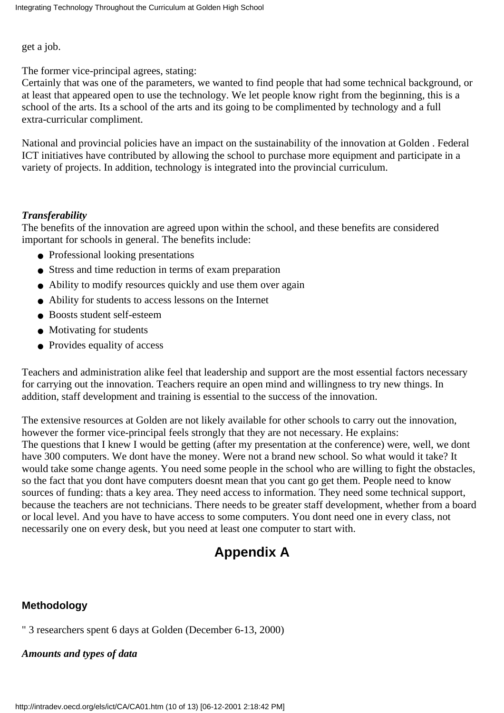get a job.

The former vice-principal agrees, stating:

Certainly that was one of the parameters, we wanted to find people that had some technical background, or at least that appeared open to use the technology. We let people know right from the beginning, this is a school of the arts. It s a school of the arts and it s going to be complimented by technology and a full extra-curricular compliment.

National and provincial policies have an impact on the sustainability of the innovation at Golden . Federal ICT initiatives have contributed by allowing the school to purchase more equipment and participate in a variety of projects. In addition, technology is integrated into the provincial curriculum.

#### *Transferability*

The benefits of the innovation are agreed upon within the school, and these benefits are considered important for schools in general. The benefits include:

- Professional looking presentations
- Stress and time reduction in terms of exam preparation
- Ability to modify resources quickly and use them over again
- Ability for students to access lessons on the Internet
- Boosts student self-esteem
- Motivating for students
- Provides equality of access

Teachers and administration alike feel that leadership and support are the most essential factors necessary for carrying out the innovation. Teachers require an open mind and willingness to try new things. In addition, staff development and training is essential to the success of the innovation.

The extensive resources at Golden are not likely available for other schools to carry out the innovation, however the former vice-principal feels strongly that they are not necessary. He explains: The questions that I knew I would be getting (after my presentation at the conference) were, well, we don t have 300 computers. We don t have the money. We re not a brand new school. So what would it take? It would take some change agents. You need some people in the school who are willing to fight the obstacles, so the fact that you don t have computers doesn t mean that you can t go get them. People need to know sources of funding: that s a key area. They need access to information. They need some technical support, because the teachers are not technicians. There needs to be greater staff development, whether from a board or local level. And you have to have access to some computers. You dont need one in every class, not necessarily one on every desk, but you need at least one computer to start with.

## **Appendix A**

#### **Methodology**

" 3 researchers spent 6 days at Golden (December 6-13, 2000)

*Amounts and types of data*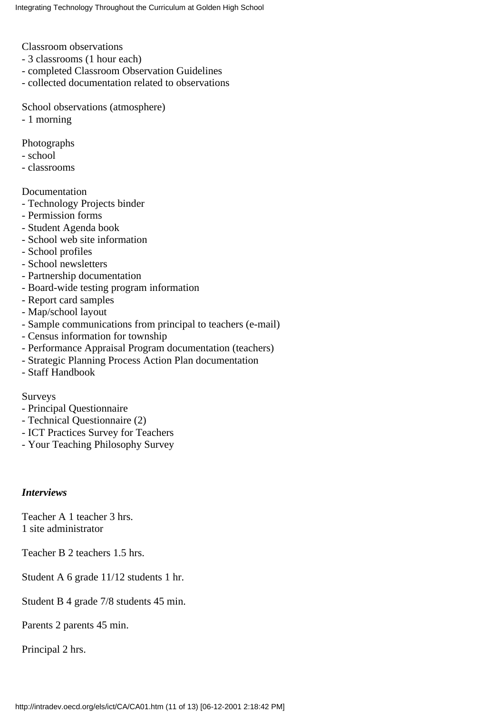Classroom observations

- 3 classrooms (1 hour each)
- completed Classroom Observation Guidelines
- collected documentation related to observations

School observations (atmosphere)

- 1 morning

Photographs

- school
- classrooms

Documentation

- Technology Projects binder
- Permission forms
- Student Agenda book
- School web site information
- School profiles
- School newsletters
- Partnership documentation
- Board-wide testing program information
- Report card samples
- Map/school layout
- Sample communications from principal to teachers (e-mail)
- Census information for township
- Performance Appraisal Program documentation (teachers)
- Strategic Planning Process Action Plan documentation
- Staff Handbook

Surveys

- Principal Questionnaire
- Technical Questionnaire (2)
- ICT Practices Survey for Teachers
- Your Teaching Philosophy Survey

#### *Interviews*

Teacher A 1 teacher 3 hrs. 1 site administrator

Teacher B 2 teachers 1.5 hrs.

Student A 6 grade 11/12 students 1 hr.

Student B 4 grade 7/8 students 45 min.

Parents 2 parents 45 min.

Principal 2 hrs.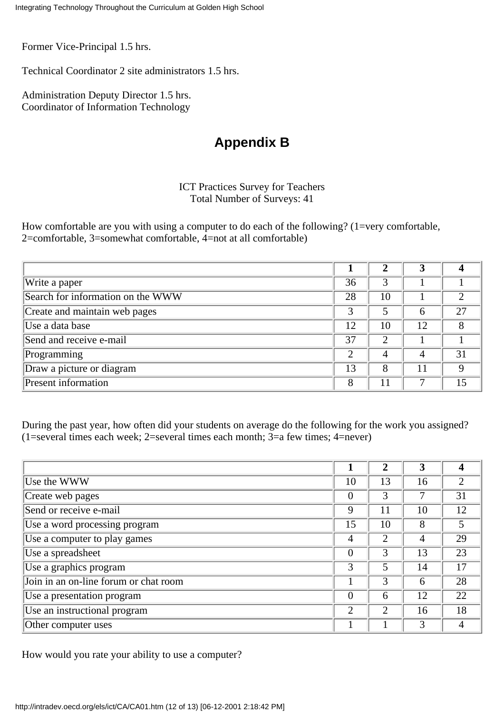Former Vice-Principal 1.5 hrs.

Technical Coordinator 2 site administrators 1.5 hrs.

Administration Deputy Director 1.5 hrs. Coordinator of Information Technology

#### **Appendix B**

#### ICT Practices Survey for Teachers Total Number of Surveys: 41

How comfortable are you with using a computer to do each of the following? (1=very comfortable, 2=comfortable, 3=somewhat comfortable, 4=not at all comfortable)

| Write a paper                     | 36 |    |    |    |
|-----------------------------------|----|----|----|----|
| Search for information on the WWW | 28 | 10 |    |    |
| Create and maintain web pages     | 3  |    | h  | 27 |
| Use a data base                   | 12 | 10 | 12 |    |
| Send and receive e-mail           | 37 | ∍  |    |    |
| Programming                       | 2  | 4  | 4  | 31 |
| Draw a picture or diagram         | 13 | 8  | 11 |    |
| <b>Present</b> information        | 8  |    |    | 15 |

During the past year, how often did your students on average do the following for the work you assigned? (1=several times each week; 2=several times each month; 3=a few times; 4=never)

| Use the WWW                           | 10             | 13 | 16 | າ  |
|---------------------------------------|----------------|----|----|----|
| Create web pages                      | $\overline{0}$ | 3  |    | 31 |
| Send or receive e-mail                | 9              | 11 | 10 | 12 |
| Use a word processing program         | 15             | 10 | 8  | 5  |
| Use a computer to play games          | 4              | 2  | 4  | 29 |
| Use a spreadsheet                     | $\theta$       | 3  | 13 | 23 |
| Use a graphics program                | 3              | 5  | 14 | 17 |
| Join in an on-line forum or chat room |                | 3  | 6  | 28 |
| Use a presentation program            | $\theta$       | 6  | 12 | 22 |
| Use an instructional program          | $\overline{2}$ | C  | 16 | 18 |
| Other computer uses                   |                |    |    |    |

How would you rate your ability to use a computer?